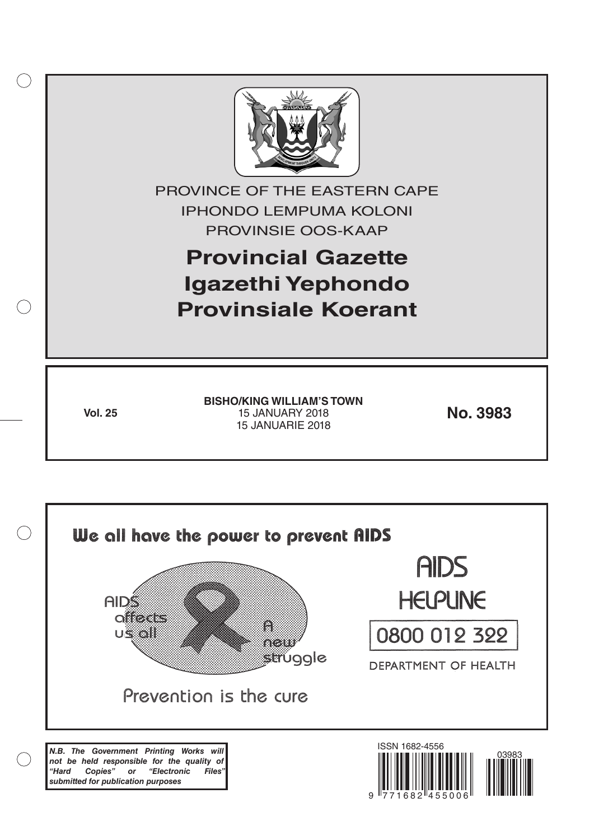

*N.B. The Government Printing Works will not be held responsible for the quality of "Hard Copies" or "Electronic Files" submitted for publication purposes*

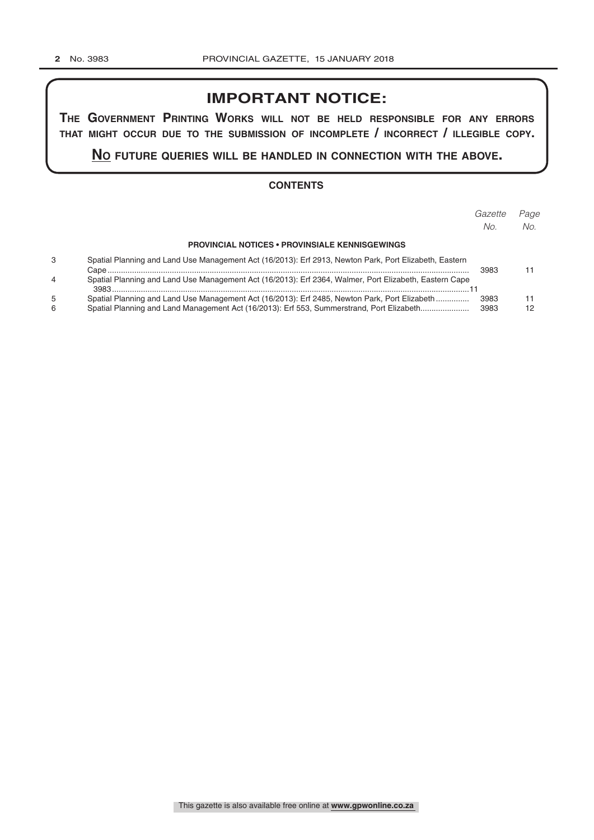## **IMPORTANT NOTICE:**

**The GovernmenT PrinTinG Works Will noT be held resPonsible for any errors ThaT miGhT occur due To The submission of incomPleTe / incorrecT / illeGible coPy.**

**no fuTure queries Will be handled in connecTion WiTh The above.**

#### **CONTENTS**

|   |                                                                                                                | Gazette | Paae |
|---|----------------------------------------------------------------------------------------------------------------|---------|------|
|   |                                                                                                                | No.     | No.  |
|   | <b>PROVINCIAL NOTICES • PROVINSIALE KENNISGEWINGS</b>                                                          |         |      |
|   | Spatial Planning and Land Use Management Act (16/2013): Erf 2913, Newton Park, Port Elizabeth, Eastern         | 3983    |      |
| 4 | Spatial Planning and Land Use Management Act (16/2013): Erf 2364, Walmer, Port Elizabeth, Eastern Cape<br>3983 |         |      |
| 5 | Spatial Planning and Land Use Management Act (16/2013): Erf 2485, Newton Park, Port Elizabeth                  | 3983    |      |
| 6 | Spatial Planning and Land Management Act (16/2013): Erf 553, Summerstrand, Port Elizabeth                      | 3983    |      |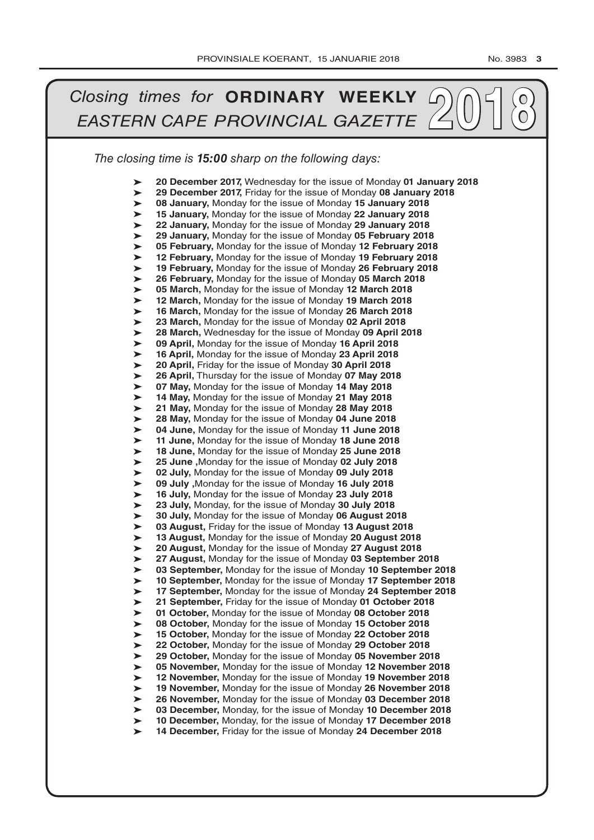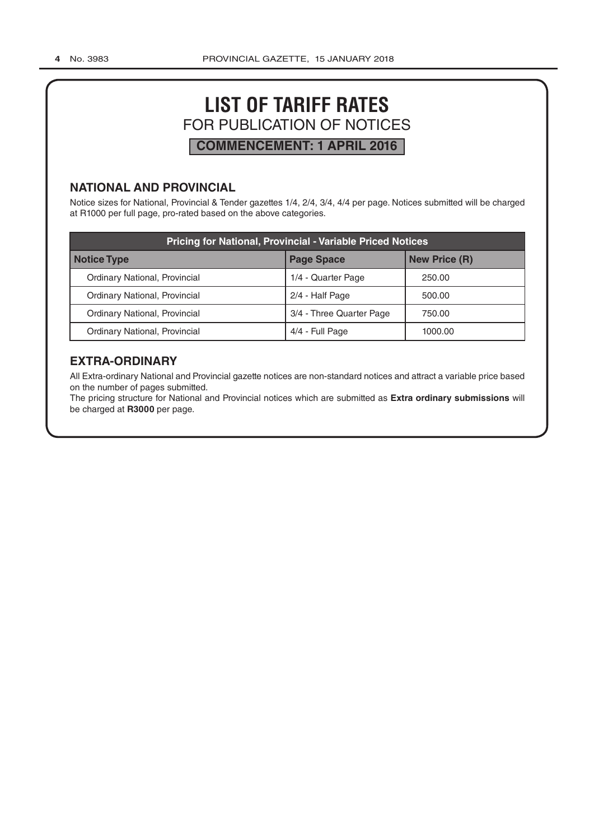# **LIST OF TARIFF RATES** FOR PUBLICATION OF NOTICES **COMMENCEMENT: 1 APRIL 2016**

## **NATIONAL AND PROVINCIAL**

Notice sizes for National, Provincial & Tender gazettes 1/4, 2/4, 3/4, 4/4 per page. Notices submitted will be charged at R1000 per full page, pro-rated based on the above categories.

| <b>Pricing for National, Provincial - Variable Priced Notices</b> |                          |                      |  |  |  |  |
|-------------------------------------------------------------------|--------------------------|----------------------|--|--|--|--|
| <b>Notice Type</b>                                                | <b>Page Space</b>        | <b>New Price (R)</b> |  |  |  |  |
| Ordinary National, Provincial                                     | 1/4 - Quarter Page       | 250.00               |  |  |  |  |
| Ordinary National, Provincial                                     | 2/4 - Half Page          | 500.00               |  |  |  |  |
| Ordinary National, Provincial                                     | 3/4 - Three Quarter Page | 750.00               |  |  |  |  |
| Ordinary National, Provincial                                     | 4/4 - Full Page          | 1000.00              |  |  |  |  |

## **EXTRA-ORDINARY**

All Extra-ordinary National and Provincial gazette notices are non-standard notices and attract a variable price based on the number of pages submitted.

The pricing structure for National and Provincial notices which are submitted as **Extra ordinary submissions** will be charged at **R3000** per page.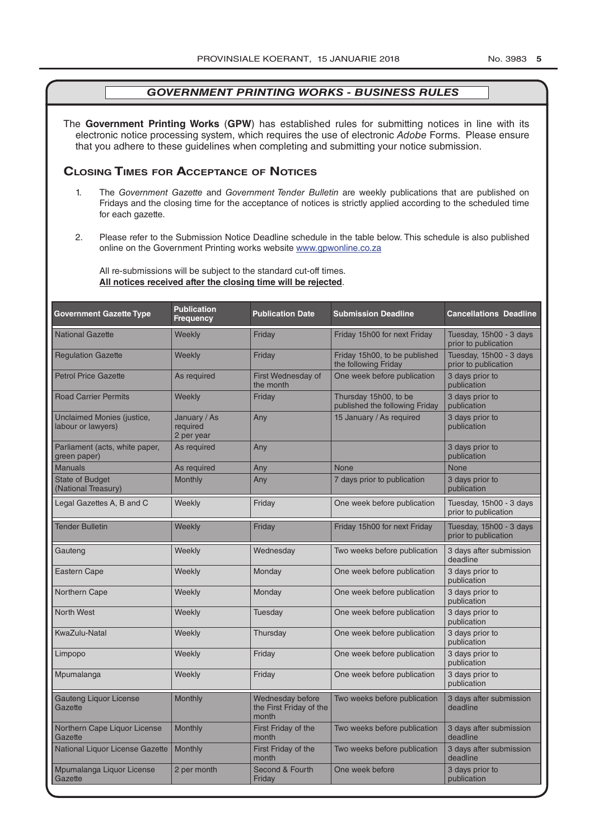The **Government Printing Works** (**GPW**) has established rules for submitting notices in line with its electronic notice processing system, which requires the use of electronic *Adobe* Forms. Please ensure that you adhere to these guidelines when completing and submitting your notice submission.

## **Closing Times for ACCepTAnCe of noTiCes**

- 1. The *Government Gazette* and *Government Tender Bulletin* are weekly publications that are published on Fridays and the closing time for the acceptance of notices is strictly applied according to the scheduled time for each gazette.
- 2. Please refer to the Submission Notice Deadline schedule in the table below. This schedule is also published online on the Government Printing works website www.gpwonline.co.za

All re-submissions will be subject to the standard cut-off times. **All notices received after the closing time will be rejected**.

| <b>Government Gazette Type</b>                   | <b>Publication</b><br><b>Frequency</b> | <b>Publication Date</b>                              | <b>Submission Deadline</b>                              | <b>Cancellations Deadline</b>                   |
|--------------------------------------------------|----------------------------------------|------------------------------------------------------|---------------------------------------------------------|-------------------------------------------------|
| <b>National Gazette</b>                          | Weekly                                 | Friday                                               | Friday 15h00 for next Friday                            | Tuesday, 15h00 - 3 days<br>prior to publication |
| <b>Regulation Gazette</b>                        | Weekly                                 | Friday                                               | Friday 15h00, to be published<br>the following Friday   | Tuesday, 15h00 - 3 days<br>prior to publication |
| <b>Petrol Price Gazette</b>                      | As required                            | First Wednesday of<br>the month                      | One week before publication                             | 3 days prior to<br>publication                  |
| <b>Road Carrier Permits</b>                      | Weekly                                 | Friday                                               | Thursday 15h00, to be<br>published the following Friday | 3 days prior to<br>publication                  |
| Unclaimed Monies (justice,<br>labour or lawyers) | January / As<br>required<br>2 per year | Any                                                  | 15 January / As required                                | 3 days prior to<br>publication                  |
| Parliament (acts, white paper,<br>green paper)   | As required                            | Any                                                  |                                                         | 3 days prior to<br>publication                  |
| <b>Manuals</b>                                   | As required                            | Any                                                  | <b>None</b>                                             | <b>None</b>                                     |
| <b>State of Budget</b><br>(National Treasury)    | Monthly                                | Any                                                  | 7 days prior to publication                             | 3 days prior to<br>publication                  |
| Legal Gazettes A, B and C                        | Weekly                                 | Friday                                               | One week before publication                             | Tuesday, 15h00 - 3 days<br>prior to publication |
| <b>Tender Bulletin</b>                           | Weekly                                 | Friday                                               | Friday 15h00 for next Friday                            | Tuesday, 15h00 - 3 days<br>prior to publication |
| Gauteng                                          | Weekly                                 | Wednesday                                            | Two weeks before publication                            | 3 days after submission<br>deadline             |
| Eastern Cape                                     | Weekly                                 | Monday                                               | One week before publication                             | 3 days prior to<br>publication                  |
| Northern Cape                                    | Weekly                                 | Monday                                               | One week before publication                             | 3 days prior to<br>publication                  |
| <b>North West</b>                                | Weekly                                 | Tuesday                                              | One week before publication                             | 3 days prior to<br>publication                  |
| KwaZulu-Natal                                    | Weekly                                 | Thursday                                             | One week before publication                             | 3 days prior to<br>publication                  |
| Limpopo                                          | Weekly                                 | Friday                                               | One week before publication                             | 3 days prior to<br>publication                  |
| Mpumalanga                                       | Weekly                                 | Friday                                               | One week before publication                             | 3 days prior to<br>publication                  |
| <b>Gauteng Liquor License</b><br>Gazette         | Monthly                                | Wednesday before<br>the First Friday of the<br>month | Two weeks before publication                            | 3 days after submission<br>deadline             |
| Northern Cape Liquor License<br>Gazette          | Monthly                                | First Friday of the<br>month                         | Two weeks before publication                            | 3 days after submission<br>deadline             |
| National Liquor License Gazette                  | Monthly                                | First Friday of the<br>month                         | Two weeks before publication                            | 3 days after submission<br>deadline             |
| Mpumalanga Liquor License<br>Gazette             | 2 per month                            | Second & Fourth<br>Friday                            | One week before                                         | 3 days prior to<br>publication                  |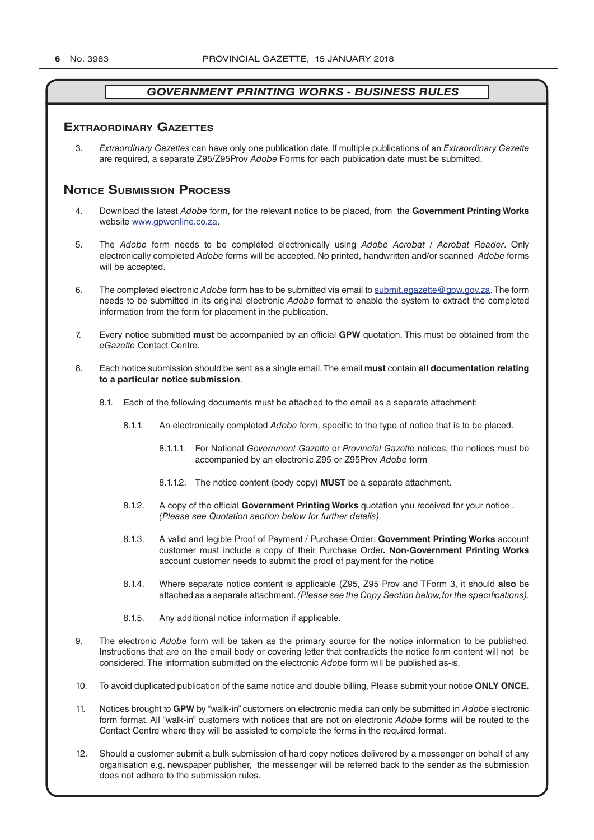#### **exTrAordinAry gAzeTTes**

3. *Extraordinary Gazettes* can have only one publication date. If multiple publications of an *Extraordinary Gazette* are required, a separate Z95/Z95Prov *Adobe* Forms for each publication date must be submitted.

### **NOTICE SUBMISSION PROCESS**

- 4. Download the latest *Adobe* form, for the relevant notice to be placed, from the **Government Printing Works** website www.gpwonline.co.za.
- 5. The *Adobe* form needs to be completed electronically using *Adobe Acrobat* / *Acrobat Reader*. Only electronically completed *Adobe* forms will be accepted. No printed, handwritten and/or scanned *Adobe* forms will be accepted.
- 6. The completed electronic *Adobe* form has to be submitted via email to submit.egazette@gpw.gov.za. The form needs to be submitted in its original electronic *Adobe* format to enable the system to extract the completed information from the form for placement in the publication.
- 7. Every notice submitted **must** be accompanied by an official **GPW** quotation. This must be obtained from the *eGazette* Contact Centre.
- 8. Each notice submission should be sent as a single email. The email **must** contain **all documentation relating to a particular notice submission**.
	- 8.1. Each of the following documents must be attached to the email as a separate attachment:
		- 8.1.1. An electronically completed *Adobe* form, specific to the type of notice that is to be placed.
			- 8.1.1.1. For National *Government Gazette* or *Provincial Gazette* notices, the notices must be accompanied by an electronic Z95 or Z95Prov *Adobe* form
			- 8.1.1.2. The notice content (body copy) **MUST** be a separate attachment.
		- 8.1.2. A copy of the official **Government Printing Works** quotation you received for your notice . *(Please see Quotation section below for further details)*
		- 8.1.3. A valid and legible Proof of Payment / Purchase Order: **Government Printing Works** account customer must include a copy of their Purchase Order*.* **Non**-**Government Printing Works** account customer needs to submit the proof of payment for the notice
		- 8.1.4. Where separate notice content is applicable (Z95, Z95 Prov and TForm 3, it should **also** be attached as a separate attachment. *(Please see the Copy Section below, for the specifications)*.
		- 8.1.5. Any additional notice information if applicable.
- 9. The electronic *Adobe* form will be taken as the primary source for the notice information to be published. Instructions that are on the email body or covering letter that contradicts the notice form content will not be considered. The information submitted on the electronic *Adobe* form will be published as-is.
- 10. To avoid duplicated publication of the same notice and double billing, Please submit your notice **ONLY ONCE.**
- 11. Notices brought to **GPW** by "walk-in" customers on electronic media can only be submitted in *Adobe* electronic form format. All "walk-in" customers with notices that are not on electronic *Adobe* forms will be routed to the Contact Centre where they will be assisted to complete the forms in the required format.
- 12. Should a customer submit a bulk submission of hard copy notices delivered by a messenger on behalf of any organisation e.g. newspaper publisher, the messenger will be referred back to the sender as the submission does not adhere to the submission rules.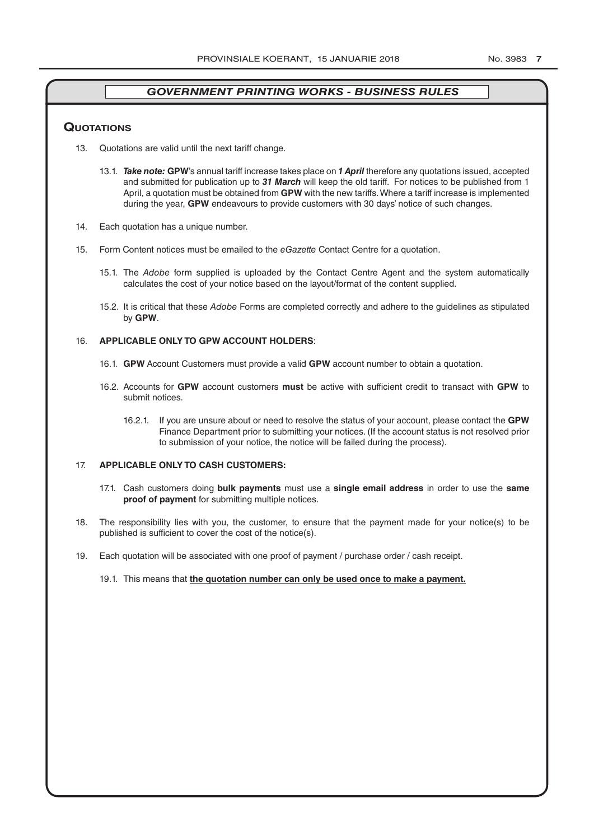#### **QuoTATions**

- 13. Quotations are valid until the next tariff change.
	- 13.1. *Take note:* **GPW**'s annual tariff increase takes place on *1 April* therefore any quotations issued, accepted and submitted for publication up to *31 March* will keep the old tariff. For notices to be published from 1 April, a quotation must be obtained from **GPW** with the new tariffs. Where a tariff increase is implemented during the year, **GPW** endeavours to provide customers with 30 days' notice of such changes.
- 14. Each quotation has a unique number.
- 15. Form Content notices must be emailed to the *eGazette* Contact Centre for a quotation.
	- 15.1. The *Adobe* form supplied is uploaded by the Contact Centre Agent and the system automatically calculates the cost of your notice based on the layout/format of the content supplied.
	- 15.2. It is critical that these *Adobe* Forms are completed correctly and adhere to the guidelines as stipulated by **GPW**.

#### 16. **APPLICABLE ONLY TO GPW ACCOUNT HOLDERS**:

- 16.1. **GPW** Account Customers must provide a valid **GPW** account number to obtain a quotation.
- 16.2. Accounts for **GPW** account customers **must** be active with sufficient credit to transact with **GPW** to submit notices.
	- 16.2.1. If you are unsure about or need to resolve the status of your account, please contact the **GPW** Finance Department prior to submitting your notices. (If the account status is not resolved prior to submission of your notice, the notice will be failed during the process).

#### 17. **APPLICABLE ONLY TO CASH CUSTOMERS:**

- 17.1. Cash customers doing **bulk payments** must use a **single email address** in order to use the **same proof of payment** for submitting multiple notices.
- 18. The responsibility lies with you, the customer, to ensure that the payment made for your notice(s) to be published is sufficient to cover the cost of the notice(s).
- 19. Each quotation will be associated with one proof of payment / purchase order / cash receipt.

#### 19.1. This means that **the quotation number can only be used once to make a payment.**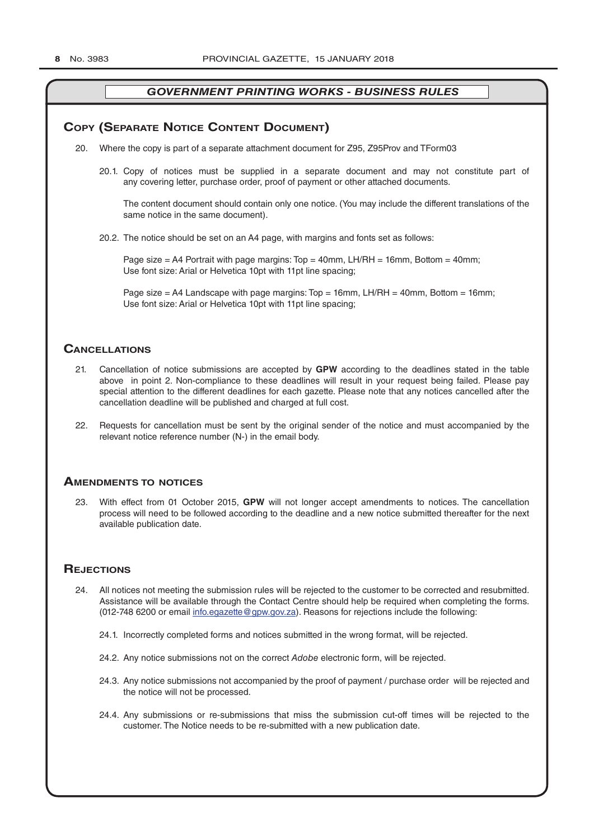#### **COPY (SEPARATE NOTICE CONTENT DOCUMENT)**

- 20. Where the copy is part of a separate attachment document for Z95, Z95Prov and TForm03
	- 20.1. Copy of notices must be supplied in a separate document and may not constitute part of any covering letter, purchase order, proof of payment or other attached documents.

The content document should contain only one notice. (You may include the different translations of the same notice in the same document).

20.2. The notice should be set on an A4 page, with margins and fonts set as follows:

Page size  $=$  A4 Portrait with page margins: Top  $=$  40mm, LH/RH  $=$  16mm, Bottom  $=$  40mm; Use font size: Arial or Helvetica 10pt with 11pt line spacing;

Page size = A4 Landscape with page margins:  $Top = 16$ mm, LH/RH = 40mm, Bottom = 16mm; Use font size: Arial or Helvetica 10pt with 11pt line spacing;

#### **CAnCellATions**

- 21. Cancellation of notice submissions are accepted by **GPW** according to the deadlines stated in the table above in point 2. Non-compliance to these deadlines will result in your request being failed. Please pay special attention to the different deadlines for each gazette. Please note that any notices cancelled after the cancellation deadline will be published and charged at full cost.
- 22. Requests for cancellation must be sent by the original sender of the notice and must accompanied by the relevant notice reference number (N-) in the email body.

#### **AmendmenTs To noTiCes**

23. With effect from 01 October 2015, **GPW** will not longer accept amendments to notices. The cancellation process will need to be followed according to the deadline and a new notice submitted thereafter for the next available publication date.

#### **REJECTIONS**

- 24. All notices not meeting the submission rules will be rejected to the customer to be corrected and resubmitted. Assistance will be available through the Contact Centre should help be required when completing the forms. (012-748 6200 or email info.egazette@gpw.gov.za). Reasons for rejections include the following:
	- 24.1. Incorrectly completed forms and notices submitted in the wrong format, will be rejected.
	- 24.2. Any notice submissions not on the correct *Adobe* electronic form, will be rejected.
	- 24.3. Any notice submissions not accompanied by the proof of payment / purchase order will be rejected and the notice will not be processed.
	- 24.4. Any submissions or re-submissions that miss the submission cut-off times will be rejected to the customer. The Notice needs to be re-submitted with a new publication date.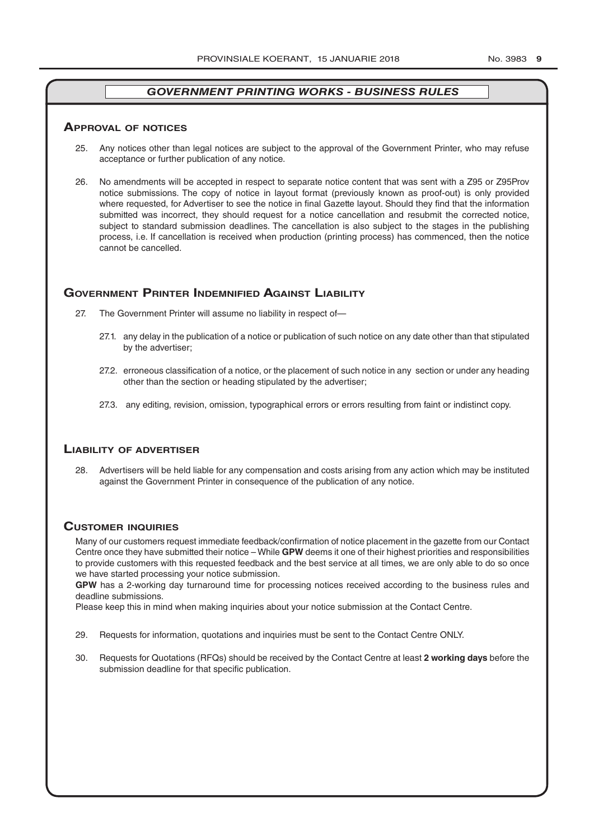#### **ApprovAl of noTiCes**

- 25. Any notices other than legal notices are subject to the approval of the Government Printer, who may refuse acceptance or further publication of any notice.
- 26. No amendments will be accepted in respect to separate notice content that was sent with a Z95 or Z95Prov notice submissions. The copy of notice in layout format (previously known as proof-out) is only provided where requested, for Advertiser to see the notice in final Gazette layout. Should they find that the information submitted was incorrect, they should request for a notice cancellation and resubmit the corrected notice, subject to standard submission deadlines. The cancellation is also subject to the stages in the publishing process, i.e. If cancellation is received when production (printing process) has commenced, then the notice cannot be cancelled.

#### **governmenT prinTer indemnified AgAinsT liAbiliTy**

- 27. The Government Printer will assume no liability in respect of—
	- 27.1. any delay in the publication of a notice or publication of such notice on any date other than that stipulated by the advertiser;
	- 27.2. erroneous classification of a notice, or the placement of such notice in any section or under any heading other than the section or heading stipulated by the advertiser;
	- 27.3. any editing, revision, omission, typographical errors or errors resulting from faint or indistinct copy.

#### **liAbiliTy of AdverTiser**

28. Advertisers will be held liable for any compensation and costs arising from any action which may be instituted against the Government Printer in consequence of the publication of any notice.

#### **CusTomer inQuiries**

Many of our customers request immediate feedback/confirmation of notice placement in the gazette from our Contact Centre once they have submitted their notice – While **GPW** deems it one of their highest priorities and responsibilities to provide customers with this requested feedback and the best service at all times, we are only able to do so once we have started processing your notice submission.

**GPW** has a 2-working day turnaround time for processing notices received according to the business rules and deadline submissions.

Please keep this in mind when making inquiries about your notice submission at the Contact Centre.

- 29. Requests for information, quotations and inquiries must be sent to the Contact Centre ONLY.
- 30. Requests for Quotations (RFQs) should be received by the Contact Centre at least **2 working days** before the submission deadline for that specific publication.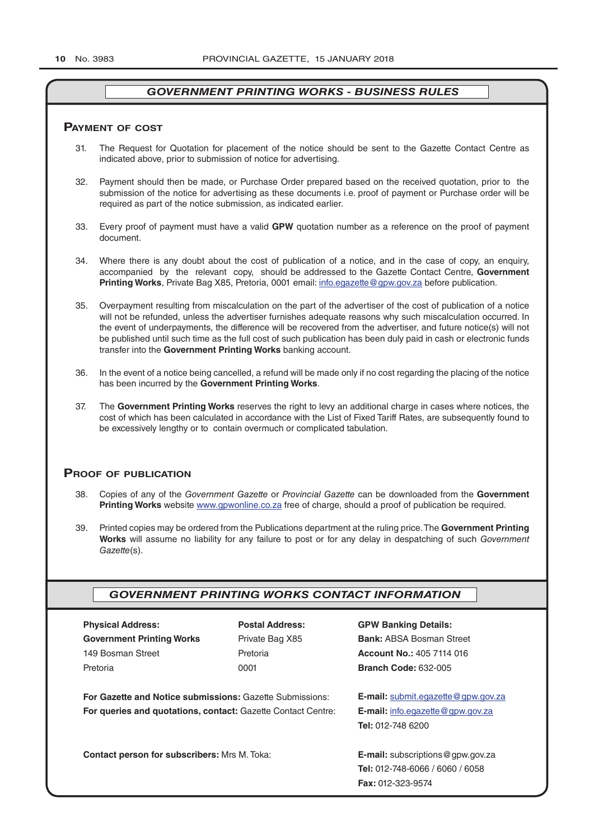#### **pAymenT of CosT**

- 31. The Request for Quotation for placement of the notice should be sent to the Gazette Contact Centre as indicated above, prior to submission of notice for advertising.
- 32. Payment should then be made, or Purchase Order prepared based on the received quotation, prior to the submission of the notice for advertising as these documents i.e. proof of payment or Purchase order will be required as part of the notice submission, as indicated earlier.
- 33. Every proof of payment must have a valid **GPW** quotation number as a reference on the proof of payment document.
- 34. Where there is any doubt about the cost of publication of a notice, and in the case of copy, an enquiry, accompanied by the relevant copy, should be addressed to the Gazette Contact Centre, **Government Printing Works**, Private Bag X85, Pretoria, 0001 email: info.egazette@gpw.gov.za before publication.
- 35. Overpayment resulting from miscalculation on the part of the advertiser of the cost of publication of a notice will not be refunded, unless the advertiser furnishes adequate reasons why such miscalculation occurred. In the event of underpayments, the difference will be recovered from the advertiser, and future notice(s) will not be published until such time as the full cost of such publication has been duly paid in cash or electronic funds transfer into the **Government Printing Works** banking account.
- 36. In the event of a notice being cancelled, a refund will be made only if no cost regarding the placing of the notice has been incurred by the **Government Printing Works**.
- 37. The **Government Printing Works** reserves the right to levy an additional charge in cases where notices, the cost of which has been calculated in accordance with the List of Fixed Tariff Rates, are subsequently found to be excessively lengthy or to contain overmuch or complicated tabulation.

#### **proof of publiCATion**

- 38. Copies of any of the *Government Gazette* or *Provincial Gazette* can be downloaded from the **Government Printing Works** website www.gpwonline.co.za free of charge, should a proof of publication be required.
- 39. Printed copies may be ordered from the Publications department at the ruling price. The **Government Printing Works** will assume no liability for any failure to post or for any delay in despatching of such *Government Gazette*(s).

#### *GOVERNMENT PRINTING WORKS CONTACT INFORMATION*

| <b>Privated Address:</b>         |  |  |  |  |
|----------------------------------|--|--|--|--|
| <b>Government Printing Works</b> |  |  |  |  |
| 149 Bosman Street                |  |  |  |  |
| Pretoria                         |  |  |  |  |

**For Gazette and Notice submissions:** Gazette Submissions: **E-mail:** submit.egazette@gpw.gov.za **For queries and quotations, contact:** Gazette Contact Centre: **E-mail:** info.egazette@gpw.gov.za

**Contact person for subscribers:** Mrs M. Toka: **E-mail:** subscriptions@gpw.gov.za

**Physical Address: Postal Address: GPW Banking Details:**

Private Bag X85 **Bank:** ABSA Bosman Street 149 Bosman Street Pretoria **Account No.:** 405 7114 016 Pretoria 0001 **Branch Code:** 632-005

**Tel:** 012-748 6200

**Tel:** 012-748-6066 / 6060 / 6058 **Fax:** 012-323-9574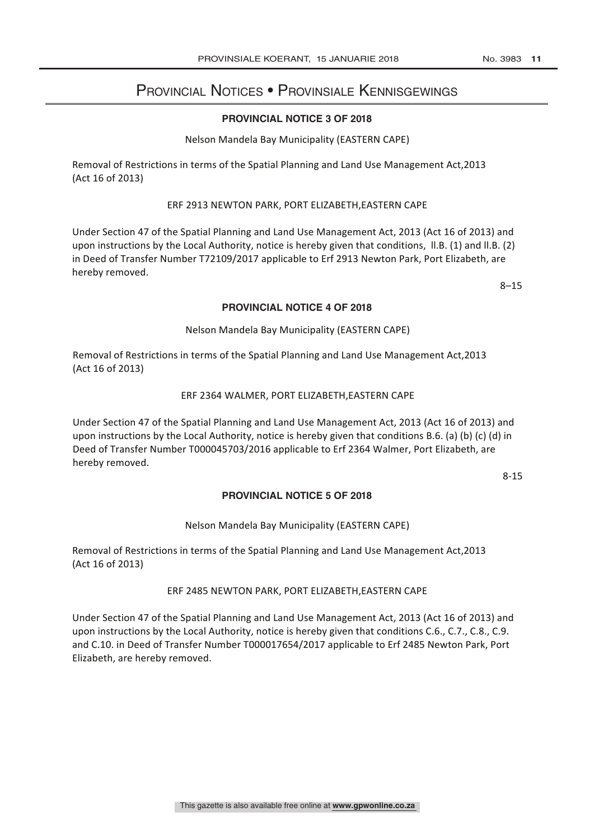## Provincial Notices • Provinsiale Kennisgewings

#### **PROVINCIAL NOTICE 3 OF 2018**

#### Nelson Mandela Bay Municipality (EASTERN CAPE)

Removal of Restrictions in terms of the Spatial Planning and Land Use Management Act,2013 (Act 16 of 2013)

#### ERF 2913 NEWTON PARK, PORT ELIZABETH, EASTERN CAPE

Under Section 47 of the Spatial Planning and Land Use Management Act, 2013 (Act 16 of 2013) and upon instructions by the Local Authority, notice is hereby given that conditions, II.B. (1) and II.B. (2) in Deed of Transfer Number T72109/2017 applicable to Erf 2913 Newton Park, Port Elizabeth, are hereby removed.

8–15

#### **PROVINCIAL NOTICE 4 OF 2018**

#### Nelson Mandela Bay Municipality (EASTERN CAPE)

Removal of Restrictions in terms of the Spatial Planning and Land Use Management Act, 2013 (Act 16 of 2013)

#### ERF 2364 WALMER, PORT ELIZABETH, EASTERN CAPE

Under Section 47 of the Spatial Planning and Land Use Management Act, 2013 (Act 16 of 2013) and upon instructions by the Local Authority, notice is hereby given that conditions B.6. (a) (b) (c) (d) in Deed of Transfer Number T000045703/2016 applicable to Erf 2364 Walmer, Port Elizabeth, are hereby removed.

8-15

#### **PROVINCIAL NOTICE 5 OF 2018**

Nelson Mandela Bay Municipality (EASTERN CAPE)

Removal of Restrictions in terms of the Spatial Planning and Land Use Management Act, 2013 (Act 16 of 2013)

#### ERF 2485 NEWTON PARK, PORT ELIZABETH, EASTERN CAPE

Under Section 47 of the Spatial Planning and Land Use Management Act, 2013 (Act 16 of 2013) and upon instructions by the Local Authority, notice is hereby given that conditions C.6., C.7., C.8., C.9. and C.10. in Deed of Transfer Number T000017654/2017 applicable to Erf 2485 Newton Park, Port Elizabeth, are hereby removed.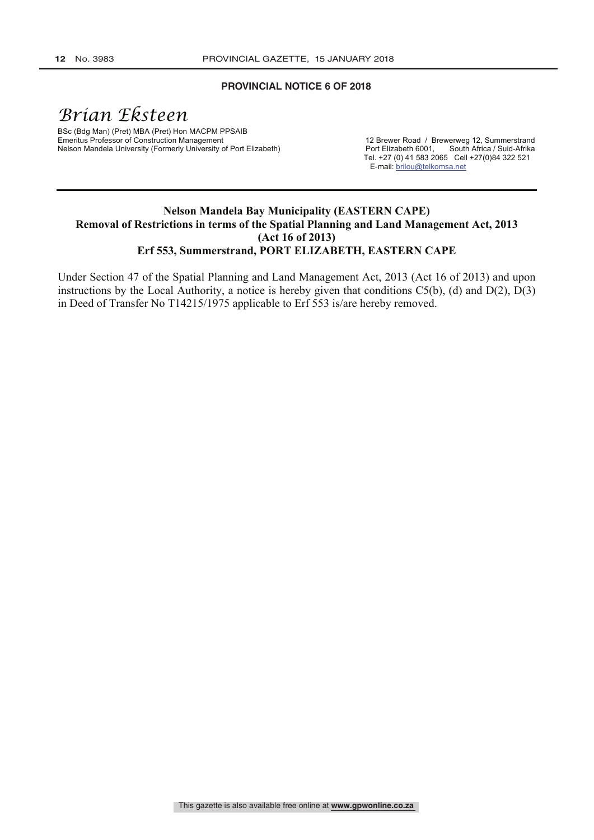#### **PROVINCIAL NOTICE 6 OF 2018**

# *Brian Eksteen*

BSc (Bdg Man) (Pret) MBA (Pret) Hon MACPM PPSAIB Nelson Mandela University (Formerly University of Port Elizabeth)

12 Brewer Road / Brewerweg 12, Summerstrand<br>Port Elizabeth 6001, South Africa / Suid-Afrika Tel. +27 (0) 41 583 2065 Cell +27(0)84 322 521 E-mail: brilou@telkomsa.net

#### **Nelson Mandela Bay Municipality (EASTERN CAPE) Removal of Restrictions in terms of the Spatial Planning and Land Management Act, 2013 (Act 16 of 2013) Erf 553, Summerstrand, PORT ELIZABETH, EASTERN CAPE**

Under Section 47 of the Spatial Planning and Land Management Act, 2013 (Act 16 of 2013) and upon instructions by the Local Authority, a notice is hereby given that conditions  $C5(b)$ , (d) and  $D(2)$ ,  $D(3)$ in Deed of Transfer No T14215/1975 applicable to Erf 553 is/are hereby removed.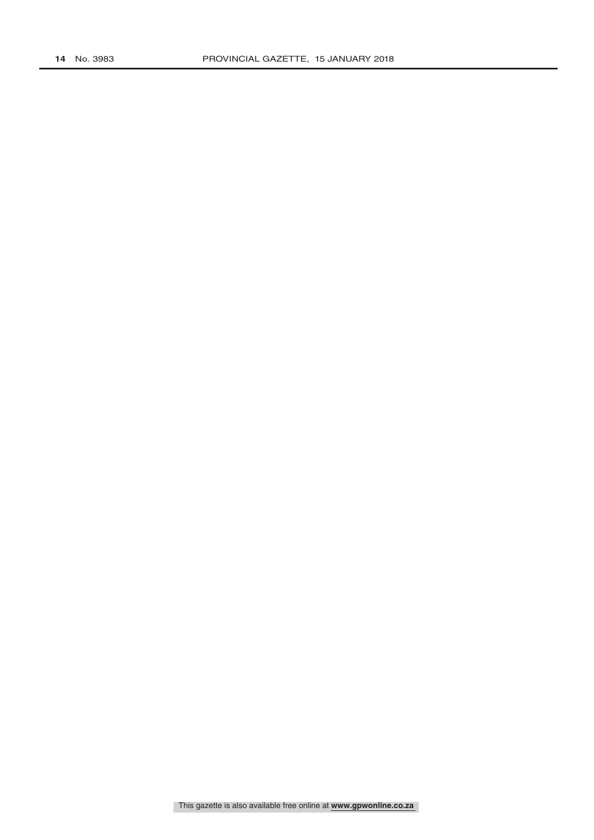This gazette is also available free online at **www.gpwonline.co.za**